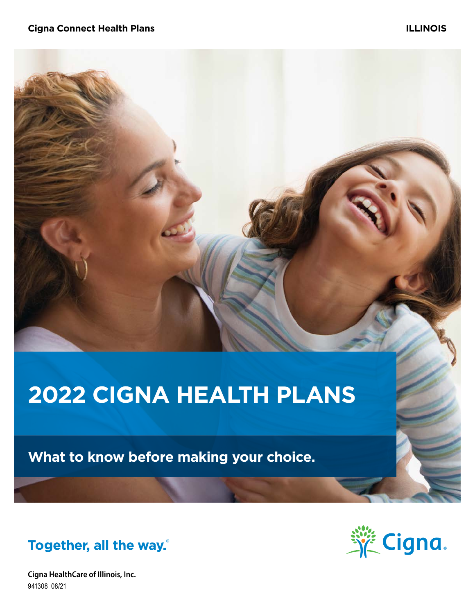# **2022 CIGNA HEALTH PLANS**

**What to know before making your choice.**



**Cigna HealthCare of Illinois, Inc.** 941308 08/21

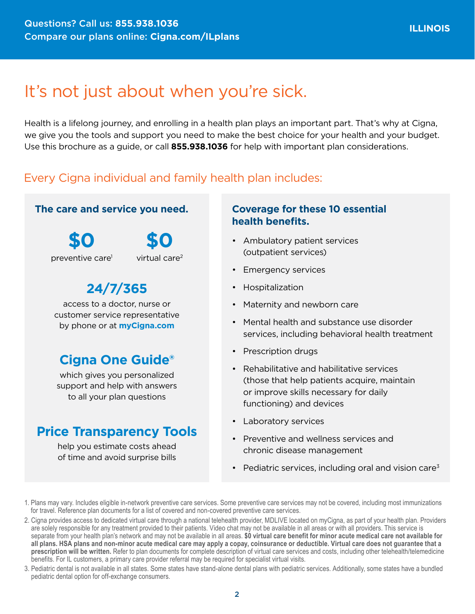# It's not just about when you're sick.

Health is a lifelong journey, and enrolling in a health plan plays an important part. That's why at Cigna, we give you the tools and support you need to make the best choice for your health and your budget. Use this brochure as a guide, or call **855.938.1036** for help with important plan considerations.

### Every Cigna individual and family health plan includes:

#### **The care and service you need.**

**\$0** preventive care<sup>1</sup> **\$0**



**24/7/365**

access to a doctor, nurse or customer service representative by phone or at **[myCigna.com](http://myCigna.com)**

## **Cigna One Guide®**

which gives you personalized support and help with answers to all your plan questions

### **Price Transparency Tools**

help you estimate costs ahead of time and avoid surprise bills

#### **Coverage for these 10 essential health benefits.**

- Ambulatory patient services (outpatient services)
- Emergency services
- Hospitalization
- Maternity and newborn care
- Mental health and substance use disorder services, including behavioral health treatment
- Prescription drugs
- Rehabilitative and habilitative services (those that help patients acquire, maintain or improve skills necessary for daily functioning) and devices
- Laboratory services
- Preventive and wellness services and chronic disease management
- Pediatric services, including oral and vision care<sup>3</sup>
- 1. Plans may vary. Includes eligible in-network preventive care services. Some preventive care services may not be covered, including most immunizations for travel. Reference plan documents for a list of covered and non-covered preventive care services.
- 2. Cigna provides access to dedicated virtual care through a national telehealth provider, MDLIVE located on myCigna, as part of your health plan. Providers are solely responsible for any treatment provided to their patients. Video chat may not be available in all areas or with all providers. This service is separate from your health plan's network and may not be available in all areas. **\$0 virtual care benefit for minor acute medical care not available for all plans. HSA plans and non-minor acute medical care may apply a copay, coinsurance or deductible. Virtual care does not guarantee that a prescription will be written.** Refer to plan documents for complete description of virtual care services and costs, including other telehealth/telemedicine benefits. For IL customers, a primary care provider referral may be required for specialist virtual visits.
- 3. Pediatric dental is not available in all states. Some states have stand-alone dental plans with pediatric services. Additionally, some states have a bundled pediatric dental option for off-exchange consumers.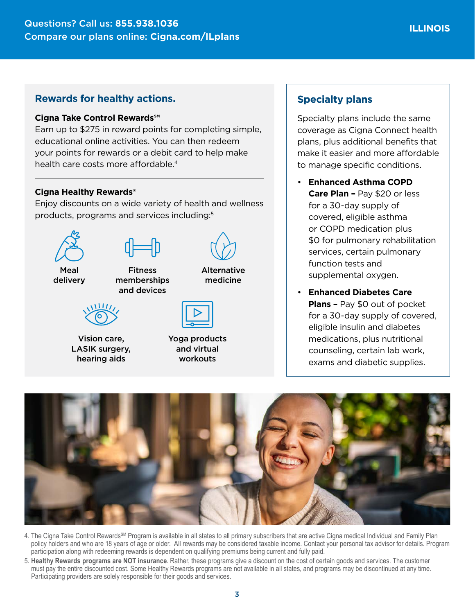#### **Rewards for healthy actions.**

#### **Cigna Take Control Rewards℠**

Earn up to \$275 in reward points for completing simple, educational online activities. You can then redeem your points for rewards or a debit card to help make health care costs more affordable.<sup>4</sup>

#### **Cigna Healthy Rewards®**

Enjoy discounts on a wide variety of health and wellness products, programs and services including:5



Vision care, LASIK surgery, hearing aids

Yoga products and virtual workouts

#### **Specialty plans**

Specialty plans include the same coverage as Cigna Connect health plans, plus additional benefits that make it easier and more affordable to manage specific conditions.

- **Enhanced Asthma COPD Care Plan –** Pay \$20 or less for a 30-day supply of covered, eligible asthma or COPD medication plus \$0 for pulmonary rehabilitation services, certain pulmonary function tests and supplemental oxygen.
- **Enhanced Diabetes Care Plans –** Pay \$0 out of pocket for a 30-day supply of covered, eligible insulin and diabetes medications, plus nutritional counseling, certain lab work, exams and diabetic supplies.



- 4. The Cigna Take Control Rewards<sup>SM</sup> Program is available in all states to all primary subscribers that are active Cigna medical Individual and Family Plan policy holders and who are 18 years of age or older. All rewards may be considered taxable income. Contact your personal tax advisor for details. Program participation along with redeeming rewards is dependent on qualifying premiums being current and fully paid.
- 5. **Healthy Rewards programs are NOT insurance**. Rather, these programs give a discount on the cost of certain goods and services. The customer must pay the entire discounted cost. Some Healthy Rewards programs are not available in all states, and programs may be discontinued at any time. Participating providers are solely responsible for their goods and services.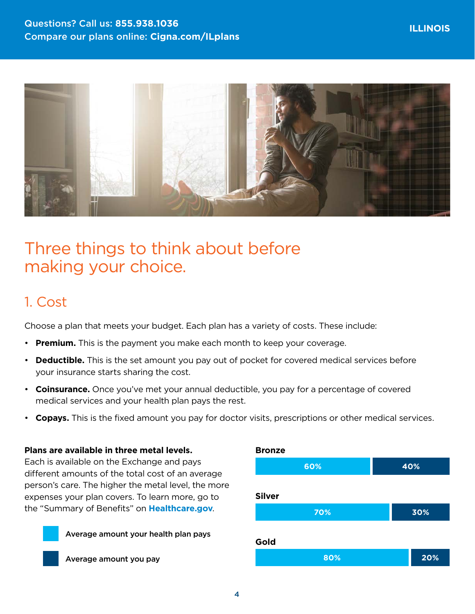

# Three things to think about before making your choice.

## 1. Cost

Choose a plan that meets your budget. Each plan has a variety of costs. These include:

- **Premium.** This is the payment you make each month to keep your coverage.
- **Deductible.** This is the set amount you pay out of pocket for covered medical services before your insurance starts sharing the cost.
- **Coinsurance.** Once you've met your annual deductible, you pay for a percentage of covered medical services and your health plan pays the rest.
- **Copays.** This is the fixed amount you pay for doctor visits, prescriptions or other medical services.

**Bronze**

#### **Plans are available in three metal levels.**

Each is available on the Exchange and pays different amounts of the total cost of an average person's care. The higher the metal level, the more expenses your plan covers. To learn more, go to the "Summary of Benefits" on **[Healthcare.gov](http://Healthcare.gov)**.



**60% 40% Silver 70% 30% Gold 80% 20%**

Average amount you pay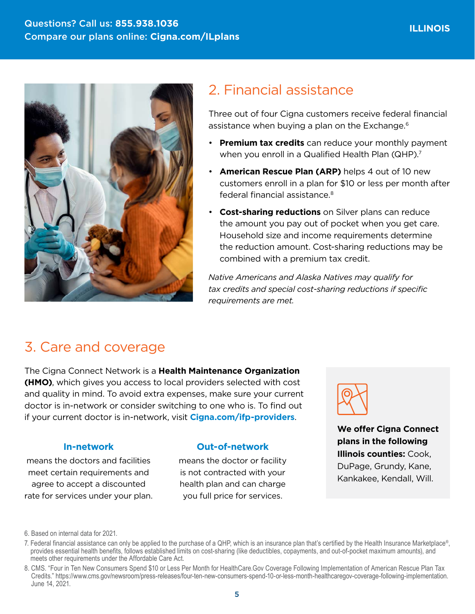

# 2. Financial assistance

Three out of four Cigna customers receive federal financial assistance when buying a plan on the Exchange.6

- **Premium tax credits** can reduce your monthly payment when you enroll in a Qualified Health Plan (QHP).<sup>7</sup>
- **American Rescue Plan (ARP)** helps 4 out of 10 new customers enroll in a plan for \$10 or less per month after federal financial assistance.8
- **Cost-sharing reductions** on Silver plans can reduce the amount you pay out of pocket when you get care. Household size and income requirements determine the reduction amount. Cost-sharing reductions may be combined with a premium tax credit.

*Native Americans and Alaska Natives may qualify for tax credits and special cost-sharing reductions if specific requirements are met.*

## 3. Care and coverage

The Cigna Connect Network is a **Health Maintenance Organization (HMO)**, which gives you access to local providers selected with cost and quality in mind. To avoid extra expenses, make sure your current doctor is in-network or consider switching to one who is. To find out if your current doctor is in-network, visit **[Cigna.com/ifp-providers](https://www.Cigna.com/ifp-providers)**.

### **In-network**

means the doctors and facilities meet certain requirements and agree to accept a discounted rate for services under your plan.

#### **Out-of-network**

means the doctor or facility is not contracted with your health plan and can charge you full price for services.



**We offer Cigna Connect plans in the following Illinois counties:** Cook, DuPage, Grundy, Kane, Kankakee, Kendall, Will.

<sup>6.</sup> Based on internal data for 2021.

<sup>7.</sup> Federal financial assistance can only be applied to the purchase of a QHP, which is an insurance plan that's certified by the Health Insurance Marketplace®, provides essential health benefits, follows established limits on cost-sharing (like deductibles, copayments, and out-of-pocket maximum amounts), and meets other requirements under the Affordable Care Act.

<sup>8.</sup> CMS. "Four in Ten New Consumers Spend \$10 or Less Per Month for HealthCare.Gov Coverage Following Implementation of American Rescue Plan Tax Credits." <https://www.cms.gov/newsroom/press-releases/four-ten-new-consumers-spend-10-or-less-month-healthcaregov-coverage-following-implementation>. June 14, 2021.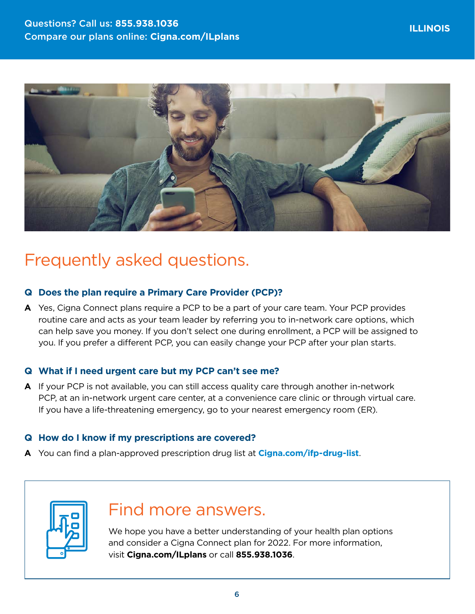

# Frequently asked questions.

#### **Q Does the plan require a Primary Care Provider (PCP)?**

**A** Yes, Cigna Connect plans require a PCP to be a part of your care team. Your PCP provides routine care and acts as your team leader by referring you to in-network care options, which can help save you money. If you don't select one during enrollment, a PCP will be assigned to you. If you prefer a different PCP, you can easily change your PCP after your plan starts.

#### **Q What if I need urgent care but my PCP can't see me?**

**A** If your PCP is not available, you can still access quality care through another in-network PCP, at an in-network urgent care center, at a convenience care clinic or through virtual care. If you have a life-threatening emergency, go to your nearest emergency room (ER).

#### **Q How do I know if my prescriptions are covered?**

**A** You can find a plan-approved prescription drug list at **[Cigna.com/ifp-drug-list](http://Cigna.com/ifp-drug-list)**.



# Find more answers.

We hope you have a better understanding of your health plan options and consider a Cigna Connect plan for 2022. For more information, visit **[Cigna.com/ILplans](http://Cigna.com/ILplans)** or call **855.938.1036**.